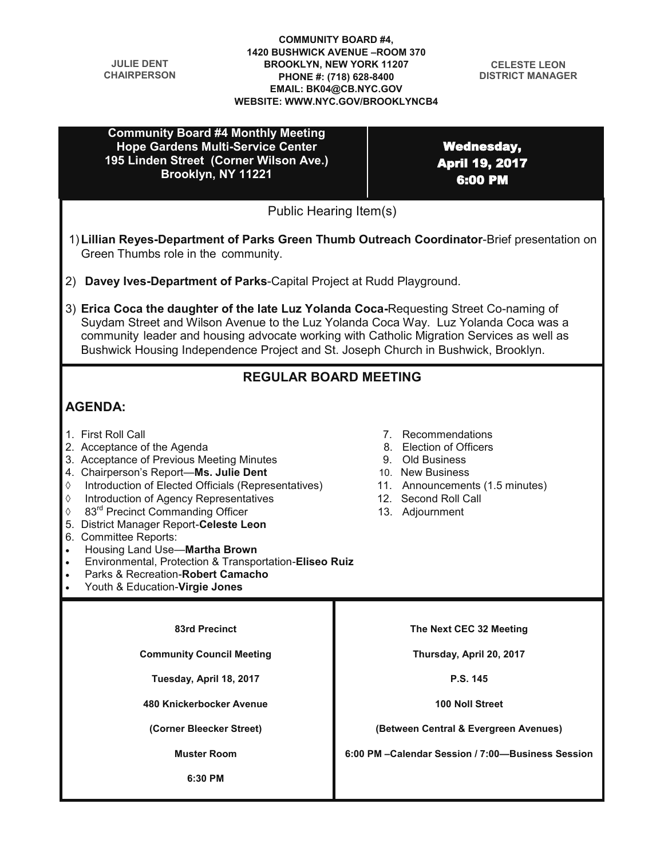| <b>JULIE DENT</b><br><b>CHAIRPERSON</b>                                                                                                                                                                                                                                                                                                                                                                                                                                                                                                                     | <b>COMMUNITY BOARD #4,</b><br><b>1420 BUSHWICK AVENUE - ROOM 370</b><br><b>BROOKLYN, NEW YORK 11207</b><br><b>CELESTE LEON</b><br>PHONE #: (718) 628-8400<br><b>DISTRICT MANAGER</b><br>EMAIL: BK04@CB.NYC.GOV<br><b>WEBSITE: WWW.NYC.GOV/BROOKLYNCB4</b> |
|-------------------------------------------------------------------------------------------------------------------------------------------------------------------------------------------------------------------------------------------------------------------------------------------------------------------------------------------------------------------------------------------------------------------------------------------------------------------------------------------------------------------------------------------------------------|-----------------------------------------------------------------------------------------------------------------------------------------------------------------------------------------------------------------------------------------------------------|
| <b>Community Board #4 Monthly Meeting</b><br><b>Hope Gardens Multi-Service Center</b><br>195 Linden Street (Corner Wilson Ave.)<br>Brooklyn, NY 11221                                                                                                                                                                                                                                                                                                                                                                                                       | <b>Wednesday,</b><br><b>April 19, 2017</b><br>6:00 PM                                                                                                                                                                                                     |
|                                                                                                                                                                                                                                                                                                                                                                                                                                                                                                                                                             | Public Hearing Item(s)                                                                                                                                                                                                                                    |
| Green Thumbs role in the community.                                                                                                                                                                                                                                                                                                                                                                                                                                                                                                                         | 1) Lillian Reyes-Department of Parks Green Thumb Outreach Coordinator-Brief presentation on                                                                                                                                                               |
| 2) Davey Ives-Department of Parks-Capital Project at Rudd Playground.                                                                                                                                                                                                                                                                                                                                                                                                                                                                                       |                                                                                                                                                                                                                                                           |
| 3) Erica Coca the daughter of the late Luz Yolanda Coca-Requesting Street Co-naming of<br>Suydam Street and Wilson Avenue to the Luz Yolanda Coca Way. Luz Yolanda Coca was a<br>community leader and housing advocate working with Catholic Migration Services as well as<br>Bushwick Housing Independence Project and St. Joseph Church in Bushwick, Brooklyn.                                                                                                                                                                                            |                                                                                                                                                                                                                                                           |
| <b>REGULAR BOARD MEETING</b>                                                                                                                                                                                                                                                                                                                                                                                                                                                                                                                                |                                                                                                                                                                                                                                                           |
| <b>AGENDA:</b>                                                                                                                                                                                                                                                                                                                                                                                                                                                                                                                                              |                                                                                                                                                                                                                                                           |
| 1. First Roll Call<br>2. Acceptance of the Agenda<br>3. Acceptance of Previous Meeting Minutes<br>4. Chairperson's Report-Ms. Julie Dent<br>Introduction of Elected Officials (Representatives)<br>♦<br>Introduction of Agency Representatives<br>♦<br>83 <sup>rd</sup> Precinct Commanding Officer<br>♦<br>5. District Manager Report-Celeste Leon<br>6. Committee Reports:<br>Housing Land Use-Martha Brown<br>Environmental, Protection & Transportation-Eliseo Ruiz<br>Parks & Recreation-Robert Camacho<br>Youth & Education-Virgie Jones<br>$\bullet$ | 7. Recommendations<br>8. Election of Officers<br>9. Old Business<br>10. New Business<br>11. Announcements (1.5 minutes)<br>12. Second Roll Call<br>13. Adjournment                                                                                        |
|                                                                                                                                                                                                                                                                                                                                                                                                                                                                                                                                                             |                                                                                                                                                                                                                                                           |
| <b>83rd Precinct</b><br><b>Community Council Meeting</b>                                                                                                                                                                                                                                                                                                                                                                                                                                                                                                    | The Next CEC 32 Meeting                                                                                                                                                                                                                                   |
| Tuesday, April 18, 2017                                                                                                                                                                                                                                                                                                                                                                                                                                                                                                                                     | Thursday, April 20, 2017<br>P.S. 145                                                                                                                                                                                                                      |
| 480 Knickerbocker Avenue                                                                                                                                                                                                                                                                                                                                                                                                                                                                                                                                    | 100 Noll Street                                                                                                                                                                                                                                           |
|                                                                                                                                                                                                                                                                                                                                                                                                                                                                                                                                                             |                                                                                                                                                                                                                                                           |
|                                                                                                                                                                                                                                                                                                                                                                                                                                                                                                                                                             |                                                                                                                                                                                                                                                           |
| (Corner Bleecker Street)<br><b>Muster Room</b>                                                                                                                                                                                                                                                                                                                                                                                                                                                                                                              | (Between Central & Evergreen Avenues)<br>6:00 PM - Calendar Session / 7:00-Business Session                                                                                                                                                               |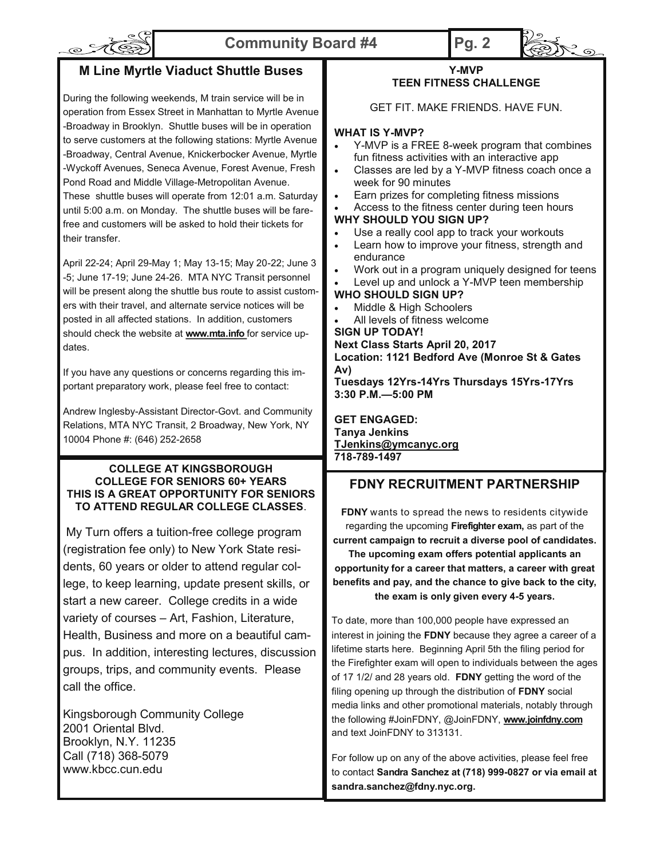# o AC

## **Community Board #4 Pg. 2**



## **M Line Myrtle Viaduct Shuttle Buses**

During the following weekends, M train service will be in operation from Essex Street in Manhattan to Myrtle Avenue -Broadway in Brooklyn. Shuttle buses will be in operation to serve customers at the following stations: Myrtle Avenue -Broadway, Central Avenue, Knickerbocker Avenue, Myrtle -Wyckoff Avenues, Seneca Avenue, Forest Avenue, Fresh Pond Road and Middle Village-Metropolitan Avenue. These shuttle buses will operate from 12:01 a.m. Saturday until 5:00 a.m. on Monday. The shuttle buses will be farefree and customers will be asked to hold their tickets for their transfer.

April 22-24; April 29-May 1; May 13-15; May 20-22; June 3 -5; June 17-19; June 24-26. MTA NYC Transit personnel will be present along the shuttle bus route to assist customers with their travel, and alternate service notices will be posted in all affected stations. In addition, customers should check the website at **www.mta.info** for service updates.

If you have any questions or concerns regarding this important preparatory work, please feel free to contact:

Andrew Inglesby-Assistant Director-Govt. and Community Relations, MTA NYC Transit, 2 Broadway, New York, NY 10004 Phone #: (646) 252-2658

#### **COLLEGE AT KINGSBOROUGH COLLEGE FOR SENIORS 60+ YEARS THIS IS A GREAT OPPORTUNITY FOR SENIORS TO ATTEND REGULAR COLLEGE CLASSES**.

My Turn offers a tuition-free college program (registration fee only) to New York State residents, 60 years or older to attend regular college, to keep learning, update present skills, or start a new career. College credits in a wide variety of courses – Art, Fashion, Literature, Health, Business and more on a beautiful campus. In addition, interesting lectures, discussion groups, trips, and community events. Please call the office.

Kingsborough Community College 2001 Oriental Blvd. Brooklyn, N.Y. 11235 Call (718) 368-5079 www.kbcc.cun.edu

#### **Y-MVP TEEN FITNESS CHALLENGE**

GET FIT. MAKE FRIENDS. HAVE FUN.

#### **WHAT IS Y-MVP?**

- Y-MVP is a FREE 8-week program that combines fun fitness activities with an interactive app
- Classes are led by a Y-MVP fitness coach once a week for 90 minutes
- Earn prizes for completing fitness missions
- Access to the fitness center during teen hours **WHY SHOULD YOU SIGN UP?**
- Use a really cool app to track your workouts
- Learn how to improve your fitness, strength and endurance
- Work out in a program uniquely designed for teens

 Level up and unlock a Y-MVP teen membership **WHO SHOULD SIGN UP?**

## Middle & High Schoolers

All levels of fitness welcome

**SIGN UP TODAY!**

**Next Class Starts April 20, 2017 Location: 1121 Bedford Ave (Monroe St & Gates Av)**

**Tuesdays 12Yrs-14Yrs Thursdays 15Yrs-17Yrs 3:30 P.M.—5:00 PM**

**GET ENGAGED: Tanya Jenkins TJenkins@ymcanyc.org 718-789-1497**

## **FDNY RECRUITMENT PARTNERSHIP**

**FDNY** wants to spread the news to residents citywide regarding the upcoming **Firefighter exam,** as part of the **current campaign to recruit a diverse pool of candidates. The upcoming exam offers potential applicants an opportunity for a career that matters, a career with great benefits and pay, and the chance to give back to the city, the exam is only given every 4-5 years.** 

To date, more than 100,000 people have expressed an interest in joining the **FDNY** because they agree a career of a lifetime starts here. Beginning April 5th the filing period for the Firefighter exam will open to individuals between the ages of 17 1/2/ and 28 years old. **FDNY** getting the word of the filing opening up through the distribution of **FDNY** social media links and other promotional materials, notably through the following #JoinFDNY, @JoinFDNY, **www.joinfdny.com**  and text JoinFDNY to 313131.

For follow up on any of the above activities, please feel free to contact **Sandra Sanchez at (718) 999-0827 or via email at sandra.sanchez@fdny.nyc.org.**